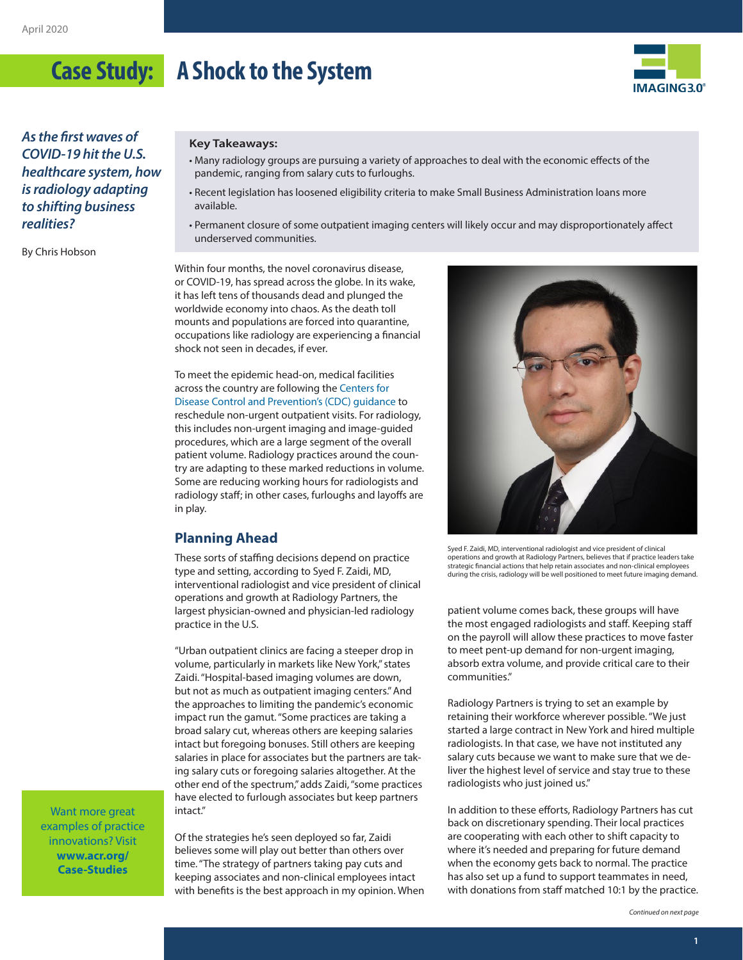## **Case Study: A Shock to the System**



*As the first waves of COVID-19 hit the U.S. healthcare system, how is radiology adapting to shifting business realities?*

By Chris Hobson

#### **Key Takeaways:**

- Many radiology groups are pursuing a variety of approaches to deal with the economic effects of the pandemic, ranging from salary cuts to furloughs.
- Recent legislation has loosened eligibility criteria to make Small Business Administration loans more available.
- Permanent closure of some outpatient imaging centers will likely occur and may disproportionately affect underserved communities.

Within four months, the novel coronavirus disease, or COVID-19, has spread across the globe. In its wake, it has left tens of thousands dead and plunged the worldwide economy into chaos. As the death toll mounts and populations are forced into quarantine, occupations like radiology are experiencing a financial shock not seen in decades, if ever.

To meet the epidemic head-on, medical facilities across the country are following the [Centers for](https://www.cdc.gov/coronavirus/2019-ncov/healthcare-facilities/index.html)  [Disease Control and Prevention's \(CDC\) guidance](https://www.cdc.gov/coronavirus/2019-ncov/healthcare-facilities/index.html) to reschedule non-urgent outpatient visits. For radiology, this includes non-urgent imaging and image-guided procedures, which are a large segment of the overall patient volume. Radiology practices around the country are adapting to these marked reductions in volume. Some are reducing working hours for radiologists and radiology staff; in other cases, furloughs and layoffs are in play.

## **Planning Ahead**

These sorts of staffing decisions depend on practice type and setting, according to Syed F. Zaidi, MD, interventional radiologist and vice president of clinical operations and growth at Radiology Partners, the largest physician-owned and physician-led radiology practice in the U.S.

"Urban outpatient clinics are facing a steeper drop in volume, particularly in markets like New York," states Zaidi. "Hospital-based imaging volumes are down, but not as much as outpatient imaging centers." And the approaches to limiting the pandemic's economic impact run the gamut. "Some practices are taking a broad salary cut, whereas others are keeping salaries intact but foregoing bonuses. Still others are keeping salaries in place for associates but the partners are taking salary cuts or foregoing salaries altogether. At the other end of the spectrum," adds Zaidi, "some practices have elected to furlough associates but keep partners intact."

Want more great examples of practice innovations? Visit **[www.acr.org/](http://www.acr.org/Case-Studies) [Case-Studies](http://www.acr.org/Case-Studies)**

Of the strategies he's seen deployed so far, Zaidi believes some will play out better than others over time. "The strategy of partners taking pay cuts and keeping associates and non-clinical employees intact with benefits is the best approach in my opinion. When



Syed F. Zaidi, MD, interventional radiologist and vice president of clinical operations and growth at Radiology Partners, believes that if practice leaders take strategic financial actions that help retain associates and non-clinical employees during the crisis, radiology will be well positioned to meet future imaging demand.

patient volume comes back, these groups will have the most engaged radiologists and staff. Keeping staff on the payroll will allow these practices to move faster to meet pent-up demand for non-urgent imaging, absorb extra volume, and provide critical care to their communities."

Radiology Partners is trying to set an example by retaining their workforce wherever possible. "We just started a large contract in New York and hired multiple radiologists. In that case, we have not instituted any salary cuts because we want to make sure that we deliver the highest level of service and stay true to these radiologists who just joined us."

In addition to these efforts, Radiology Partners has cut back on discretionary spending. Their local practices are cooperating with each other to shift capacity to where it's needed and preparing for future demand when the economy gets back to normal. The practice has also set up a fund to support teammates in need, with donations from staff matched 10:1 by the practice.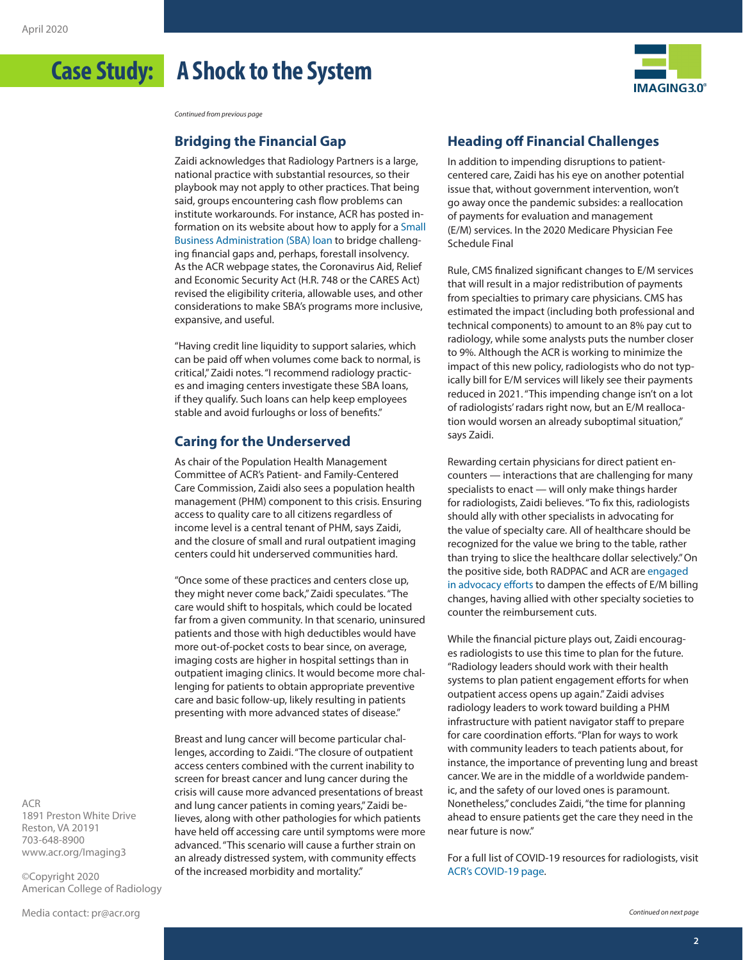## **Case Study: A Shock to the System**



*Continued from previous page*

#### **Bridging the Financial Gap**

Zaidi acknowledges that Radiology Partners is a large, national practice with substantial resources, so their playbook may not apply to other practices. That being said, groups encountering cash flow problems can institute workarounds. For instance, ACR has posted information on its website about how to apply for a [Small](https://www.acr.org/Advocacy-and-Economics/Advocacy-News/Advocacy-News-Issues/In-the-April-4-2020-Issue/SBA-Loan-Programs-for-Radiology-Practices) [Business Administration \(SBA\)](https://www.acr.org/Advocacy-and-Economics/Advocacy-News/Advocacy-News-Issues/In-the-April-4-2020-Issue/SBA-Loan-Programs-for-Radiology-Practices) loan to bridge challenging financial gaps and, perhaps, forestall insolvency. As the ACR webpage states, the Coronavirus Aid, Relief and Economic Security Act (H.R. 748 or the CARES Act) revised the eligibility criteria, allowable uses, and other considerations to make SBA's programs more inclusive, expansive, and useful.

"Having credit line liquidity to support salaries, which can be paid off when volumes come back to normal, is critical," Zaidi notes. "I recommend radiology practices and imaging centers investigate these SBA loans, if they qualify. Such loans can help keep employees stable and avoid furloughs or loss of benefits."

#### **Caring for the Underserved**

As chair of the Population Health Management Committee of ACR's Patient- and Family-Centered Care Commission, Zaidi also sees a population health management (PHM) component to this crisis. Ensuring access to quality care to all citizens regardless of income level is a central tenant of PHM, says Zaidi, and the closure of small and rural outpatient imaging centers could hit underserved communities hard.

"Once some of these practices and centers close up, they might never come back," Zaidi speculates. "The care would shift to hospitals, which could be located far from a given community. In that scenario, uninsured patients and those with high deductibles would have more out-of-pocket costs to bear since, on average, imaging costs are higher in hospital settings than in outpatient imaging clinics. It would become more challenging for patients to obtain appropriate preventive care and basic follow-up, likely resulting in patients presenting with more advanced states of disease."

Breast and lung cancer will become particular challenges, according to Zaidi. "The closure of outpatient access centers combined with the current inability to screen for breast cancer and lung cancer during the crisis will cause more advanced presentations of breast and lung cancer patients in coming years," Zaidi believes, along with other pathologies for which patients have held off accessing care until symptoms were more advanced. "This scenario will cause a further strain on an already distressed system, with community effects of the increased morbidity and mortality."

### **Heading off Financial Challenges**

In addition to impending disruptions to patientcentered care, Zaidi has his eye on another potential issue that, without government intervention, won't go away once the pandemic subsides: a reallocation of payments for evaluation and management (E/M) services. In the 2020 Medicare Physician Fee Schedule Final

Rule, CMS finalized significant changes to E/M services that will result in a major redistribution of payments from specialties to primary care physicians. CMS has estimated the impact (including both professional and technical components) to amount to an 8% pay cut to radiology, while some analysts puts the number closer to 9%. Although the ACR is working to minimize the impact of this new policy, radiologists who do not typically bill for E/M services will likely see their payments reduced in 2021. "This impending change isn't on a lot of radiologists' radars right now, but an E/M reallocation would worsen an already suboptimal situation," says Zaidi.

Rewarding certain physicians for direct patient encounters — interactions that are challenging for many specialists to enact — will only make things harder for radiologists, Zaidi believes. "To fix this, radiologists should ally with other specialists in advocating for the value of specialty care. All of healthcare should be recognized for the value we bring to the table, rather than trying to slice the healthcare dollar selectively." [On](https://www.acr.org/-/media/ACR/Files/Advocacy/AIA/Provider-Letter-BN-EM-Final-(2).pdf)  [the positive side, both RADPAC and ACR are engaged](https://www.acr.org/-/media/ACR/Files/Advocacy/AIA/Provider-Letter-BN-EM-Final-(2).pdf)  [in advocacy efforts to dampen the effects of E/M billing](https://www.acr.org/-/media/ACR/Files/Advocacy/AIA/Provider-Letter-BN-EM-Final-(2).pdf)  [changes, having allied with other specialty societies to](https://www.acr.org/-/media/ACR/Files/Advocacy/AIA/Provider-Letter-BN-EM-Final-(2).pdf)  [counter the reimbursement cuts.](https://www.acr.org/-/media/ACR/Files/Advocacy/AIA/Provider-Letter-BN-EM-Final-(2).pdf)

While the financial picture plays out, Zaidi encourages radiologists to use this time to plan for the future. "Radiology leaders should work with their health systems to plan patient engagement efforts for when outpatient access opens up again." Zaidi advises radiology leaders to work toward building a PHM infrastructure with patient navigator staff to prepare for care coordination efforts. "Plan for ways to work with community leaders to teach patients about, for instance, the importance of preventing lung and breast cancer. We are in the middle of a worldwide pandemic, and the safety of our loved ones is paramount. Nonetheless," concludes Zaidi, "the time for planning ahead to ensure patients get the care they need in the near future is now."

For a full list of COVID-19 resources for radiologists, visit [ACR's COVID-19 page.](https://www.acr.org/Coronavirus-Covid-19-Resources )

ACR 1891 Preston White Drive Reston, VA 20191 703-648-8900 [www.acr.org/Imaging3](http://www.acr.org/Imaging3)

©Copyright 2020 American College of Radiology